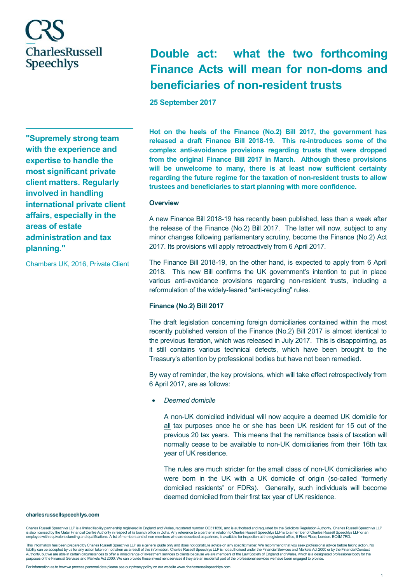# **Double act: what the two forthcoming Finance Acts will mean for non-doms and beneficiaries of non-resident trusts**

**25 September 2017**

**"Supremely strong team with the experience and expertise to handle the most significant private client matters. Regularly involved in handling international private client affairs, especially in the areas of estate administration and tax planning."** 

Chambers UK, 2016, Private Client

**Hot on the heels of the Finance (No.2) Bill 2017, the government has released a draft Finance Bill 2018-19. This re-introduces some of the complex anti-avoidance provisions regarding trusts that were dropped from the original Finance Bill 2017 in March. Although these provisions will be unwelcome to many, there is at least now sufficient certainty regarding the future regime for the taxation of non-resident trusts to allow trustees and beneficiaries to start planning with more confidence.** 

#### **Overview**

A new Finance Bill 2018-19 has recently been published, less than a week after the release of the Finance (No.2) Bill 2017. The latter will now, subject to any minor changes following parliamentary scrutiny, become the Finance (No.2) Act 2017. Its provisions will apply retroactively from 6 April 2017.

The Finance Bill 2018-19, on the other hand, is expected to apply from 6 April 2018. This new Bill confirms the UK government's intention to put in place various anti-avoidance provisions regarding non-resident trusts, including a reformulation of the widely-feared "anti-recycling" rules.

# **Finance (No.2) Bill 2017**

The draft legislation concerning foreign domiciliaries contained within the most recently published version of the Finance (No.2) Bill 2017 is almost identical to the previous iteration, which was released in July 2017. This is disappointing, as it still contains various technical defects, which have been brought to the Treasury's attention by professional bodies but have not been remedied.

By way of reminder, the key provisions, which will take effect retrospectively from 6 April 2017, are as follows:

• *Deemed domicile*

A non-UK domiciled individual will now acquire a deemed UK domicile for all tax purposes once he or she has been UK resident for 15 out of the previous 20 tax years. This means that the remittance basis of taxation will normally cease to be available to non-UK domiciliaries from their 16th tax year of UK residence.

The rules are much stricter for the small class of non-UK domiciliaries who were born in the UK with a UK domicile of origin (so-called "formerly domiciled residents" or FDRs). Generally, such individuals will become deemed domiciled from their first tax year of UK residence.

#### **charlesrussellspeechlys.com**

Charles Russell Speechlys LLP is a limited liability partnership registered in England and Wales, registered number OC311850, and is authorised and regulated by the Solicitors Regulation Authority. Charles Russell Speechly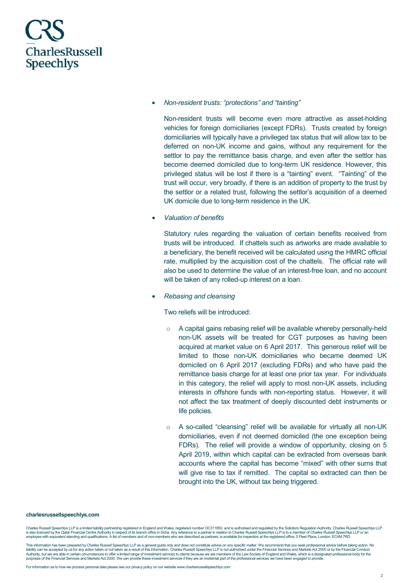

• *Non-resident trusts: "protections" and "tainting"*

Non-resident trusts will become even more attractive as asset-holding vehicles for foreign domiciliaries (except FDRs). Trusts created by foreign domiciliaries will typically have a privileged tax status that will allow tax to be deferred on non-UK income and gains, without any requirement for the settlor to pay the remittance basis charge, and even after the settlor has become deemed domiciled due to long-term UK residence. However, this privileged status will be lost if there is a "tainting" event. "Tainting" of the trust will occur, very broadly, if there is an addition of property to the trust by the settlor or a related trust, following the settlor's acquisition of a deemed UK domicile due to long-term residence in the UK.

• *Valuation of benefits* 

Statutory rules regarding the valuation of certain benefits received from trusts will be introduced. If chattels such as artworks are made available to a beneficiary, the benefit received will be calculated using the HMRC official rate, multiplied by the acquisition cost of the chattels. The official rate will also be used to determine the value of an interest-free loan, and no account will be taken of any rolled-up interest on a loan.

• *Rebasing and cleansing*

Two reliefs will be introduced:

- $\circ$  A capital gains rebasing relief will be available whereby personally-held non-UK assets will be treated for CGT purposes as having been acquired at market value on 6 April 2017. This generous relief will be limited to those non-UK domiciliaries who became deemed UK domiciled on 6 April 2017 (excluding FDRs) and who have paid the remittance basis charge for at least one prior tax year. For individuals in this category, the relief will apply to most non-UK assets, including interests in offshore funds with non-reporting status. However, it will not affect the tax treatment of deeply discounted debt instruments or life policies.
- A so-called "cleansing" relief will be available for virtually all non-UK domiciliaries, even if not deemed domiciled (the one exception being FDRs). The relief will provide a window of opportunity, closing on 5 April 2019, within which capital can be extracted from overseas bank accounts where the capital has become "mixed" with other sums that will give rise to tax if remitted. The capital so extracted can then be brought into the UK, without tax being triggered.

#### **charlesrussellspeechlys.com**

Charles Russell Speechlys LLP is a limited liability partnership registred in England and Wales, registered number OC311850, and is authorised and regulated by the Solicitors Regulation Authority. Charles Russell Speechlys employee with equivalent standing and qualifications. A list of members and of non-members who are described as partners, is available for inspection at the registered office, 5 Fleet Place, London. EC4M 7RD.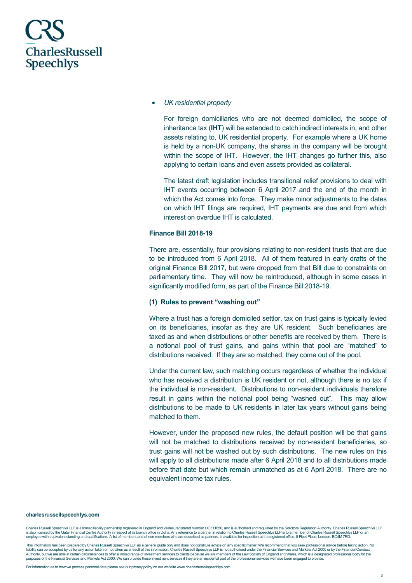

#### • *UK residential property*

For foreign domiciliaries who are not deemed domiciled, the scope of inheritance tax (**IHT**) will be extended to catch indirect interests in, and other assets relating to, UK residential property. For example where a UK home is held by a non-UK company, the shares in the company will be brought within the scope of IHT. However, the IHT changes go further this, also applying to certain loans and even assets provided as collateral.

The latest draft legislation includes transitional relief provisions to deal with IHT events occurring between 6 April 2017 and the end of the month in which the Act comes into force. They make minor adjustments to the dates on which IHT filings are required, IHT payments are due and from which interest on overdue IHT is calculated.

### **Finance Bill 2018-19**

There are, essentially, four provisions relating to non-resident trusts that are due to be introduced from 6 April 2018. All of them featured in early drafts of the original Finance Bill 2017, but were dropped from that Bill due to constraints on parliamentary time. They will now be reintroduced, although in some cases in significantly modified form, as part of the Finance Bill 2018-19.

# **(1) Rules to prevent "washing out"**

Where a trust has a foreign domiciled settlor, tax on trust gains is typically levied on its beneficiaries, insofar as they are UK resident. Such beneficiaries are taxed as and when distributions or other benefits are received by them. There is a notional pool of trust gains, and gains within that pool are "matched" to distributions received. If they are so matched, they come out of the pool.

Under the current law, such matching occurs regardless of whether the individual who has received a distribution is UK resident or not, although there is no tax if the individual is non-resident. Distributions to non-resident individuals therefore result in gains within the notional pool being "washed out". This may allow distributions to be made to UK residents in later tax years without gains being matched to them.

However, under the proposed new rules, the default position will be that gains will not be matched to distributions received by non-resident beneficiaries, so trust gains will not be washed out by such distributions. The new rules on this will apply to all distributions made after 6 April 2018 and to all distributions made before that date but which remain unmatched as at 6 April 2018. There are no equivalent income tax rules.

#### **charlesrussellspeechlys.com**

Charles Russell Speechlys LLP is a limited liability partnership registred in England and Wales, registered number OC311850, and is authorised and regulated by the Solicitors Regulation Authority. Charles Russell Speechlys employee with equivalent standing and qualifications. A list of members and of non-members who are described as partners, is available for inspection at the registered office, 5 Fleet Place, London. EC4M 7RD.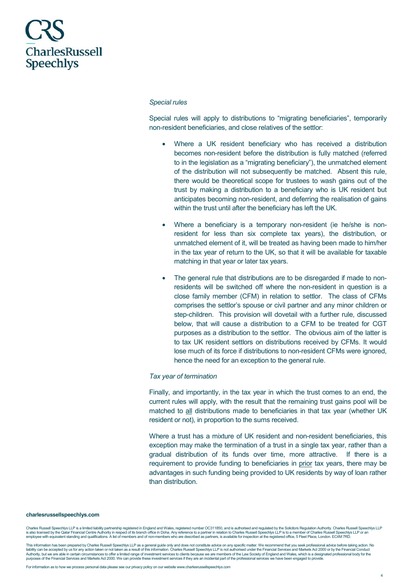#### *Special rules*

Special rules will apply to distributions to "migrating beneficiaries", temporarily non-resident beneficiaries, and close relatives of the settlor:

- Where a UK resident beneficiary who has received a distribution becomes non-resident before the distribution is fully matched (referred to in the legislation as a "migrating beneficiary"), the unmatched element of the distribution will not subsequently be matched. Absent this rule, there would be theoretical scope for trustees to wash gains out of the trust by making a distribution to a beneficiary who is UK resident but anticipates becoming non-resident, and deferring the realisation of gains within the trust until after the beneficiary has left the UK.
- Where a beneficiary is a temporary non-resident (ie he/she is nonresident for less than six complete tax years), the distribution, or unmatched element of it, will be treated as having been made to him/her in the tax year of return to the UK, so that it will be available for taxable matching in that year or later tax years.
- The general rule that distributions are to be disregarded if made to nonresidents will be switched off where the non-resident in question is a close family member (CFM) in relation to settlor. The class of CFMs comprises the settlor's spouse or civil partner and any minor children or step-children. This provision will dovetail with a further rule, discussed below, that will cause a distribution to a CFM to be treated for CGT purposes as a distribution to the settlor. The obvious aim of the latter is to tax UK resident settlors on distributions received by CFMs. It would lose much of its force if distributions to non-resident CFMs were ignored, hence the need for an exception to the general rule.

### *Tax year of termination*

Finally, and importantly, in the tax year in which the trust comes to an end, the current rules will apply, with the result that the remaining trust gains pool will be matched to all distributions made to beneficiaries in that tax year (whether UK resident or not), in proportion to the sums received.

Where a trust has a mixture of UK resident and non-resident beneficiaries, this exception may make the termination of a trust in a single tax year, rather than a gradual distribution of its funds over time, more attractive. If there is a requirement to provide funding to beneficiaries in prior tax years, there may be advantages in such funding being provided to UK residents by way of loan rather than distribution.

#### **charlesrussellspeechlys.com**

Charles Russell Speechlys LLP is a limited liability partnership registred in England and Wales, registered number OC311850, and is authorised and regulated by the Solicitors Regulation Authority. Charles Russell Speechlys employee with equivalent standing and qualifications. A list of members and of non-members who are described as partners, is available for inspection at the registered office, 5 Fleet Place, London. EC4M 7RD.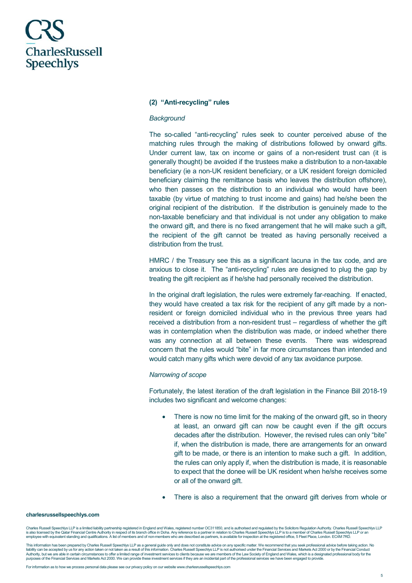### **(2) "Anti-recycling" rules**

#### *Background*

The so-called "anti-recycling" rules seek to counter perceived abuse of the matching rules through the making of distributions followed by onward gifts. Under current law, tax on income or gains of a non-resident trust can (it is generally thought) be avoided if the trustees make a distribution to a non-taxable beneficiary (ie a non-UK resident beneficiary, or a UK resident foreign domiciled beneficiary claiming the remittance basis who leaves the distribution offshore), who then passes on the distribution to an individual who would have been taxable (by virtue of matching to trust income and gains) had he/she been the original recipient of the distribution. If the distribution is genuinely made to the non-taxable beneficiary and that individual is not under any obligation to make the onward gift, and there is no fixed arrangement that he will make such a gift, the recipient of the gift cannot be treated as having personally received a distribution from the trust.

HMRC / the Treasury see this as a significant lacuna in the tax code, and are anxious to close it. The "anti-recycling" rules are designed to plug the gap by treating the gift recipient as if he/she had personally received the distribution.

In the original draft legislation, the rules were extremely far-reaching. If enacted, they would have created a tax risk for the recipient of any gift made by a nonresident or foreign domiciled individual who in the previous three years had received a distribution from a non-resident trust – regardless of whether the gift was in contemplation when the distribution was made, or indeed whether there was any connection at all between these events. There was widespread concern that the rules would "bite" in far more circumstances than intended and would catch many gifts which were devoid of any tax avoidance purpose.

#### *Narrowing of scope*

Fortunately, the latest iteration of the draft legislation in the Finance Bill 2018-19 includes two significant and welcome changes:

- There is now no time limit for the making of the onward gift, so in theory at least, an onward gift can now be caught even if the gift occurs decades after the distribution. However, the revised rules can only "bite" if, when the distribution is made, there are arrangements for an onward gift to be made, or there is an intention to make such a gift. In addition, the rules can only apply if, when the distribution is made, it is reasonable to expect that the donee will be UK resident when he/she receives some or all of the onward gift.
- There is also a requirement that the onward gift derives from whole or

#### **charlesrussellspeechlys.com**

Charles Russell Speechlys LLP is a limited liability partnership registred in England and Wales, registered number OC311850, and is authorised and regulated by the Solicitors Regulation Authority. Charles Russell Speechlys employee with equivalent standing and qualifications. A list of members and of non-members who are described as partners, is available for inspection at the registered office, 5 Fleet Place, London. EC4M 7RD.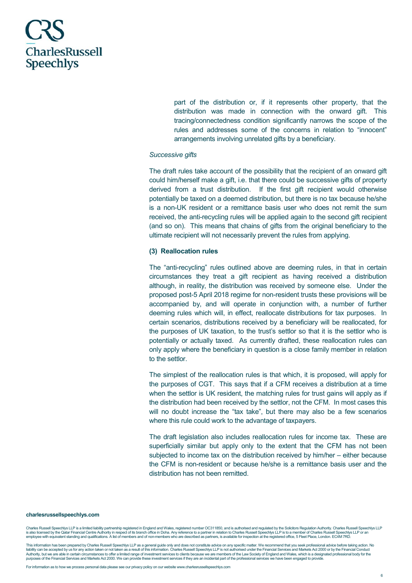

part of the distribution or, if it represents other property, that the distribution was made in connection with the onward gift. This tracing/connectedness condition significantly narrows the scope of the rules and addresses some of the concerns in relation to "innocent" arrangements involving unrelated gifts by a beneficiary.

#### *Successive gifts*

The draft rules take account of the possibility that the recipient of an onward gift could him/herself make a gift, i.e. that there could be successive gifts of property derived from a trust distribution. If the first gift recipient would otherwise potentially be taxed on a deemed distribution, but there is no tax because he/she is a non-UK resident or a remittance basis user who does not remit the sum received, the anti-recycling rules will be applied again to the second gift recipient (and so on). This means that chains of gifts from the original beneficiary to the ultimate recipient will not necessarily prevent the rules from applying.

#### **(3) Reallocation rules**

The "anti-recycling" rules outlined above are deeming rules, in that in certain circumstances they treat a gift recipient as having received a distribution although, in reality, the distribution was received by someone else. Under the proposed post-5 April 2018 regime for non-resident trusts these provisions will be accompanied by, and will operate in conjunction with, a number of further deeming rules which will, in effect, reallocate distributions for tax purposes. In certain scenarios, distributions received by a beneficiary will be reallocated, for the purposes of UK taxation, to the trust's settlor so that it is the settlor who is potentially or actually taxed. As currently drafted, these reallocation rules can only apply where the beneficiary in question is a close family member in relation to the settlor.

The simplest of the reallocation rules is that which, it is proposed, will apply for the purposes of CGT. This says that if a CFM receives a distribution at a time when the settlor is UK resident, the matching rules for trust gains will apply as if the distribution had been received by the settlor, not the CFM. In most cases this will no doubt increase the "tax take", but there may also be a few scenarios where this rule could work to the advantage of taxpayers.

The draft legislation also includes reallocation rules for income tax. These are superficially similar but apply only to the extent that the CFM has not been subjected to income tax on the distribution received by him/her – either because the CFM is non-resident or because he/she is a remittance basis user and the distribution has not been remitted.

#### **charlesrussellspeechlys.com**

Charles Russell Speechlys LLP is a limited liability partnership registred in England and Wales, registered number OC311850, and is authorised and regulated by the Solicitors Regulation Authority. Charles Russell Speechlys employee with equivalent standing and qualifications. A list of members and of non-members who are described as partners, is available for inspection at the registered office, 5 Fleet Place, London. EC4M 7RD.